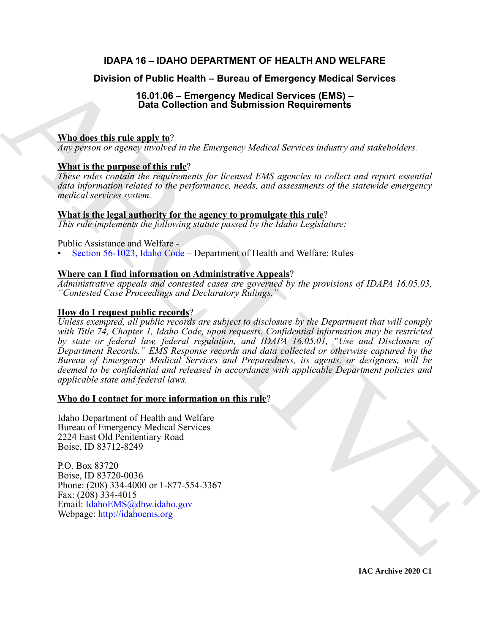# **IDAPA 16 – IDAHO DEPARTMENT OF HEALTH AND WELFARE**

# **Division of Public Health – Bureau of Emergency Medical Services**

# **16.01.06 – Emergency Medical Services (EMS) – Data Collection and Submission Requirements**

## **Who does this rule apply to**?

*Any person or agency involved in the Emergency Medical Services industry and stakeholders.*

# **What is the purpose of this rule**?

*These rules contain the requirements for licensed EMS agencies to collect and report essential data information related to the performance, needs, and assessments of the statewide emergency medical services system.*

## **What is the legal authority for the agency to promulgate this rule**?

*This rule implements the following statute passed by the Idaho Legislature:*

### Public Assistance and Welfare -

• Section 56-1023, Idaho Code – Department of Health and Welfare: Rules

## **Where can I find information on Administrative Appeals**?

*Administrative appeals and contested cases are governed by the provisions of IDAPA 16.05.03, "Contested Case Proceedings and Declaratory Rulings."*

### **How do I request public records**?

Division of Public Health - Bureau of Emergency Medical Services<br>
16.01.06 - Emergency Medical Services (EMS)<br>
16.01.06 - Emergency Medical Services (EMS)<br>
26.01.06 - Chief and Value Emergency Medical Services indicisy an *Unless exempted, all public records are subject to disclosure by the Department that will comply with Title 74, Chapter 1, Idaho Code, upon requests. Confidential information may be restricted by state or federal law, federal regulation, and IDAPA 16.05.01, "Use and Disclosure of Department Records." EMS Response records and data collected or otherwise captured by the Bureau of Emergency Medical Services and Preparedness, its agents, or designees, will be deemed to be confidential and released in accordance with applicable Department policies and applicable state and federal laws.*

### **Who do I contact for more information on this rule**?

Idaho Department of Health and Welfare Bureau of Emergency Medical Services 2224 East Old Penitentiary Road Boise, ID 83712-8249

P.O. Box 83720 Boise, ID 83720-0036 Phone: (208) 334-4000 or 1-877-554-3367 Fax: (208) 334-4015 Email: IdahoEMS@dhw.idaho.gov Webpage: http://idahoems.org

**IAC Archive 2020 C1**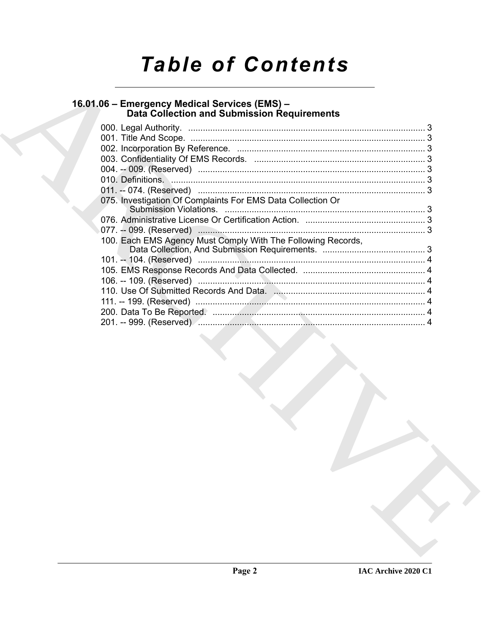# **Table of Contents**

# 16.01.06 – Emergency Medical Services (EMS) –<br>Data Collection and Submission Requirements

| 075. Investigation Of Complaints For EMS Data Collection Or  |  |
|--------------------------------------------------------------|--|
|                                                              |  |
|                                                              |  |
|                                                              |  |
| 100. Each EMS Agency Must Comply With The Following Records, |  |
|                                                              |  |
|                                                              |  |
|                                                              |  |
|                                                              |  |
|                                                              |  |
|                                                              |  |
|                                                              |  |
|                                                              |  |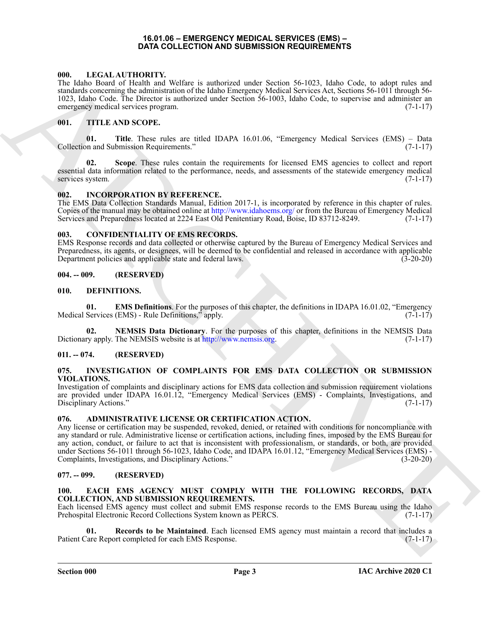#### **16.01.06 – EMERGENCY MEDICAL SERVICES (EMS) – DATA COLLECTION AND SUBMISSION REQUIREMENTS**

#### <span id="page-2-21"></span><span id="page-2-1"></span><span id="page-2-0"></span>**000. LEGAL AUTHORITY.**

The Idaho Board of Health and Welfare is authorized under Section 56-1023, Idaho Code, to adopt rules and standards concerning the administration of the Idaho Emergency Medical Services Act, Sections 56-1011 through 56- 1023, Idaho Code. The Director is authorized under Section 56-1003, Idaho Code, to supervise and administer an emergency medical services program. (7-1-17)

#### <span id="page-2-22"></span><span id="page-2-2"></span>**001. TITLE AND SCOPE.**

**01. Title**. These rules are titled IDAPA 16.01.06, "Emergency Medical Services (EMS) – Data Collection and Submission Requirements." (7-1-17)

**02. Scope**. These rules contain the requirements for licensed EMS agencies to collect and report essential data information related to the performance, needs, and assessments of the statewide emergency medical services system. (7-1-17)

#### <span id="page-2-19"></span><span id="page-2-3"></span>**002. INCORPORATION BY REFERENCE.**

The EMS Data Collection Standards Manual, Edition 2017-1, is incorporated by reference in this chapter of rules. Copies of the manual may be obtained online at http://www.idahoems.org/ or from the Bureau of Emergency Medical Services and Preparedness located at 2224 East Old Penitentiary Road, Boise, ID 83712-8249. (7-1-17)

#### <span id="page-2-13"></span><span id="page-2-4"></span>**003. CONFIDENTIALITY OF EMS RECORDS.**

EMS Response records and data collected or otherwise captured by the Bureau of Emergency Medical Services and Preparedness, its agents, or designees, will be deemed to be confidential and released in accordance with applicable Department policies and applicable state and federal laws. (3-20-20)

#### <span id="page-2-5"></span>**004. -- 009. (RESERVED)**

#### <span id="page-2-14"></span><span id="page-2-6"></span>**010. DEFINITIONS.**

<span id="page-2-15"></span>**01. EMS Definitions**. For the purposes of this chapter, the definitions in IDAPA 16.01.02, "Emergency Medical Services (EMS) - Rule Definitions," apply. (7-1-17)

<span id="page-2-16"></span>**02. NEMSIS Data Dictionary**. For the purposes of this chapter, definitions in the NEMSIS Data Dictionary apply. The NEMSIS website is at http://www.nemsis.org. (7-1-17)

#### <span id="page-2-7"></span>**011. -- 074. (RESERVED)**

#### <span id="page-2-20"></span><span id="page-2-8"></span>**075. INVESTIGATION OF COMPLAINTS FOR EMS DATA COLLECTION OR SUBMISSION VIOLATIONS.**

Investigation of complaints and disciplinary actions for EMS data collection and submission requirement violations are provided under IDAPA 16.01.12, "Emergency Medical Services (EMS) - Complaints, Investigations, and Disciplinary Actions." (7-1-17)

#### <span id="page-2-12"></span><span id="page-2-9"></span>**076. ADMINISTRATIVE LICENSE OR CERTIFICATION ACTION.**

600. La Different March IV (1986) The state state state and resident state and contains the state of the contains of the state of the state of the state of the state of the state of the state of the state of the state of Any license or certification may be suspended, revoked, denied, or retained with conditions for noncompliance with any standard or rule. Administrative license or certification actions, including fines, imposed by the EMS Bureau for any action, conduct, or failure to act that is inconsistent with professionalism, or standards, or both, are provided under Sections 56-1011 through 56-1023, Idaho Code, and IDAPA 16.01.12, "Emergency Medical Services (EMS) - Complaints, Investigations, and Disciplinary Actions." (3-20-20) Complaints, Investigations, and Disciplinary Actions."

#### <span id="page-2-10"></span>**077. -- 099. (RESERVED)**

#### <span id="page-2-17"></span><span id="page-2-11"></span>**100. EACH EMS AGENCY MUST COMPLY WITH THE FOLLOWING RECORDS, DATA COLLECTION, AND SUBMISSION REQUIREMENTS.**

Each licensed EMS agency must collect and submit EMS response records to the EMS Bureau using the Idaho Prehospital Electronic Record Collections System known as PERCS. (7-1-17)

<span id="page-2-18"></span>**01. Records to be Maintained**. Each licensed EMS agency must maintain a record that includes a Patient Care Report completed for each EMS Response. (7-1-17)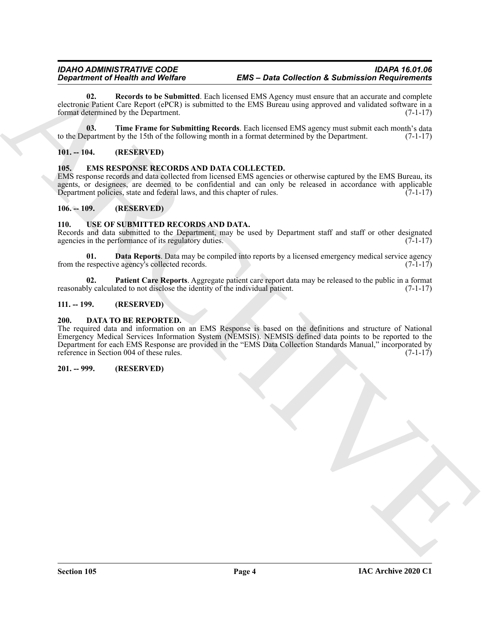<span id="page-3-8"></span>**02. Records to be Submitted**. Each licensed EMS Agency must ensure that an accurate and complete electronic Patient Care Report (ePCR) is submitted to the EMS Bureau using approved and validated software in a format determined by the Department. (7-1-17)

<span id="page-3-9"></span>**03. Time Frame for Submitting Records**. Each licensed EMS agency must submit each month's data to the Department by the 15th of the following month in a format determined by the Department. (7-1-17)

#### <span id="page-3-0"></span>**101. -- 104. (RESERVED)**

#### <span id="page-3-10"></span><span id="page-3-1"></span>**105. EMS RESPONSE RECORDS AND DATA COLLECTED.**

EMS response records and data collected from licensed EMS agencies or otherwise captured by the EMS Bureau, its agents, or designees, are deemed to be confidential and can only be released in accordance with applicable Department policies, state and federal laws, and this chapter of rules.  $(7-1-17)$ Department policies, state and federal laws, and this chapter of rules.

#### <span id="page-3-2"></span>**106. -- 109. (RESERVED)**

#### <span id="page-3-11"></span><span id="page-3-3"></span>**110. USE OF SUBMITTED RECORDS AND DATA.**

Records and data submitted to the Department, may be used by Department staff and staff or other designated agencies in the performance of its regulatory duties. (7-1-17)

<span id="page-3-12"></span>**01. Data Reports**. Data may be compiled into reports by a licensed emergency medical service agency respective agency's collected records. (7-1-17) from the respective agency's collected records.

<span id="page-3-13"></span>**02. Patient Care Reports**. Aggregate patient care report data may be released to the public in a format reasonably calculated to not disclose the identity of the individual patient. (7-1-17)

#### <span id="page-3-4"></span>**111. -- 199. (RESERVED)**

#### <span id="page-3-7"></span><span id="page-3-5"></span>**200. DATA TO BE REPORTED.**

**Equation of Nearly in any Voltage Contract CEO and Concerned Contract Contract CEO and CEO and CEO and CEO and CEO and CEO and CEO and CEO and CEO and CEO and CEO and CEO and CEO and CEO and CEO and CEO and CEO and CEO a** The required data and information on an EMS Response is based on the definitions and structure of National Emergency Medical Services Information System (NEMSIS). NEMSIS defined data points to be reported to the Department for each EMS Response are provided in the "EMS Data Collection Standards Manual," incorporated by reference in Section 004 of these rules. (7-1-17)

#### <span id="page-3-6"></span>**201. -- 999. (RESERVED)**